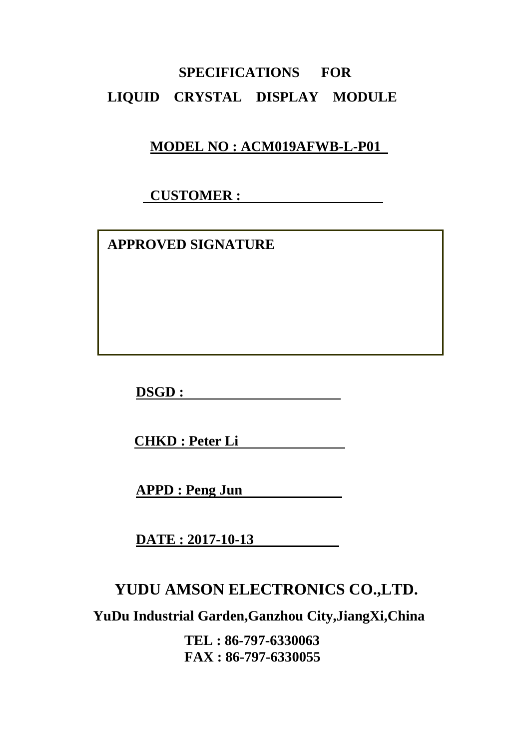# **SPECIFICATIONS FOR LIQUID CRYSTAL DISPLAY MODULE**

# **MODEL NO : ACM019AFWB-L-P01**

# **CUSTOMER :**

 **APPROVED SIGNATURE** 

**DSGD :** 

**CHKD : Peter Li** 

**APPD : Peng Jun** 

**DATE : 2017-10-13** 

# **YUDU AMSON ELECTRONICS CO.,LTD.**

**YuDu Industrial Garden,Ganzhou City,JiangXi,China** 

**TEL : 86-797-6330063 FAX : 86-797-6330055**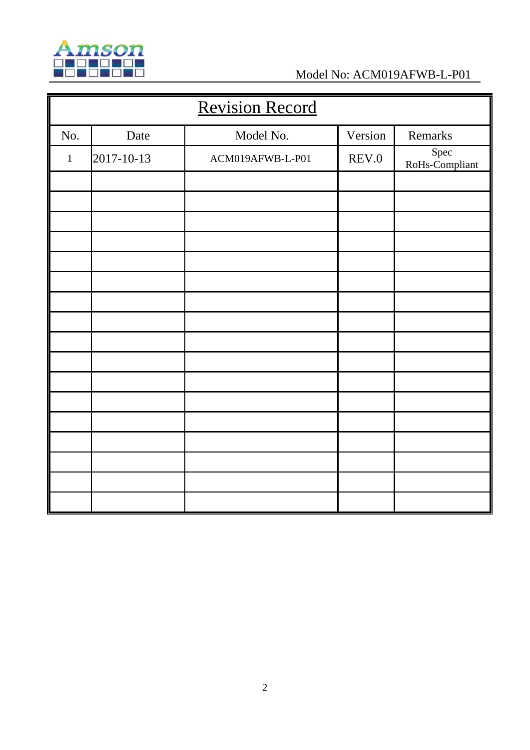

| <b>Revision Record</b> |            |                  |         |                        |  |
|------------------------|------------|------------------|---------|------------------------|--|
| No.                    | Date       | Model No.        | Version | Remarks                |  |
| $\mathbf 1$            | 2017-10-13 | ACM019AFWB-L-P01 | REV.0   | Spec<br>RoHs-Compliant |  |
|                        |            |                  |         |                        |  |
|                        |            |                  |         |                        |  |
|                        |            |                  |         |                        |  |
|                        |            |                  |         |                        |  |
|                        |            |                  |         |                        |  |
|                        |            |                  |         |                        |  |
|                        |            |                  |         |                        |  |
|                        |            |                  |         |                        |  |
|                        |            |                  |         |                        |  |
|                        |            |                  |         |                        |  |
|                        |            |                  |         |                        |  |
|                        |            |                  |         |                        |  |
|                        |            |                  |         |                        |  |
|                        |            |                  |         |                        |  |
|                        |            |                  |         |                        |  |
|                        |            |                  |         |                        |  |
|                        |            |                  |         |                        |  |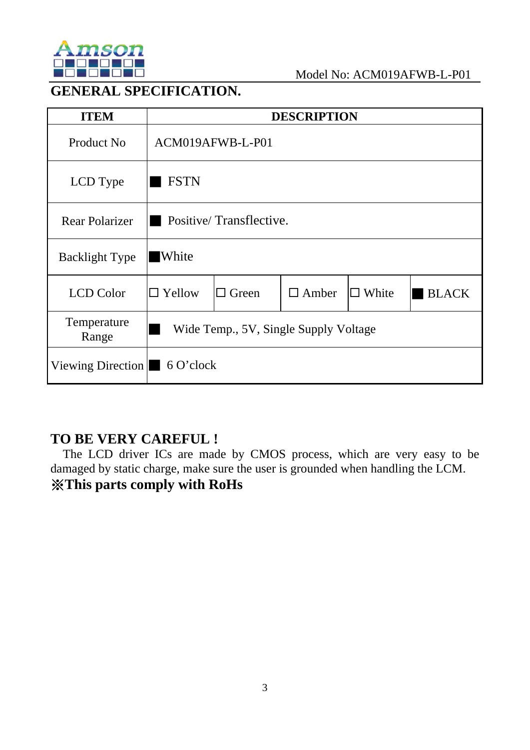

# **GENERAL SPECIFICATION.**

| <b>ITEM</b>                                |                                       |              | <b>DESCRIPTION</b> |              |              |
|--------------------------------------------|---------------------------------------|--------------|--------------------|--------------|--------------|
| Product No                                 | ACM019AFWB-L-P01                      |              |                    |              |              |
| LCD Type                                   | <b>FSTN</b>                           |              |                    |              |              |
| <b>Rear Polarizer</b>                      | Positive/Transflective.               |              |                    |              |              |
| <b>Backlight Type</b>                      | <b>White</b>                          |              |                    |              |              |
| <b>LCD</b> Color                           | $\Box$ Yellow                         | $\Box$ Green | $\Box$ Amber       | $\Box$ White | <b>BLACK</b> |
| Temperature<br>Range                       | Wide Temp., 5V, Single Supply Voltage |              |                    |              |              |
| Viewing Direction $\blacksquare$ 6 O'clock |                                       |              |                    |              |              |

# **TO BE VERY CAREFUL !**

The LCD driver ICs are made by CMOS process, which are very easy to be damaged by static charge, make sure the user is grounded when handling the LCM. ※**This parts comply with RoHs**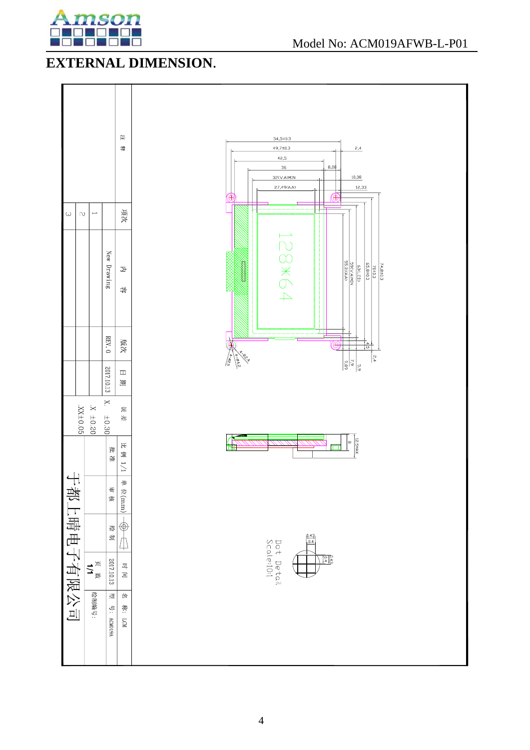

# **EXTERNAL DIMENSION**.

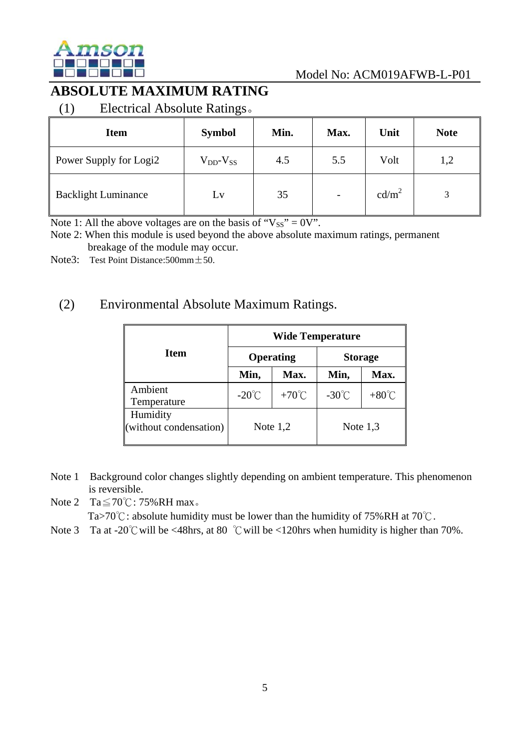

# **ABSOLUTE MAXIMUM RATING**

(1) Electrical Absolute Ratings。

| <b>Item</b>                | $\check{~}$<br><b>Symbol</b> | Min. | Max. | Unit              | <b>Note</b> |
|----------------------------|------------------------------|------|------|-------------------|-------------|
|                            |                              |      |      |                   |             |
| Power Supply for Logi2     | $V_{DD}$ - $V_{SS}$          | 4.5  | 5.5  | Volt              | 1,2         |
| <b>Backlight Luminance</b> | Lv                           | 35   |      | cd/m <sup>2</sup> |             |

Note 1: All the above voltages are on the basis of " $V_{SS}$ " = 0V".

Note 2: When this module is used beyond the above absolute maximum ratings, permanent breakage of the module may occur.

Note3: Test Point Distance:  $500 \text{mm} \pm 50$ .

## (2) Environmental Absolute Maximum Ratings.

|                                    | <b>Wide Temperature</b> |                 |                 |                 |  |  |
|------------------------------------|-------------------------|-----------------|-----------------|-----------------|--|--|
| <b>Item</b>                        |                         | Operating       | <b>Storage</b>  |                 |  |  |
|                                    | Min,                    | Max.            | Min,            | Max.            |  |  |
| Ambient<br>Temperature             | $-20^{\circ}$ C         | $+70^{\circ}$ C | $-30^{\circ}$ C | $+80^{\circ}$ C |  |  |
| Humidity<br>(without condensation) | Note $1,2$              |                 | Note $1,3$      |                 |  |  |

- Note 1 Background color changes slightly depending on ambient temperature. This phenomenon is reversible.
- Note 2 Ta $\leq$  70°C: 75%RH max.

Ta>70℃: absolute humidity must be lower than the humidity of 75%RH at 70℃.

Note 3 Ta at -20℃ will be <48hrs, at 80 ℃ will be <120hrs when humidity is higher than 70%.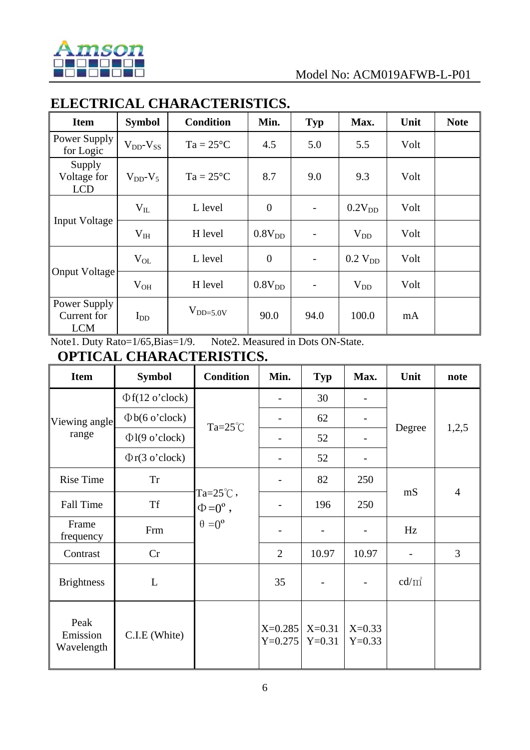

# **ELECTRICAL CHARACTERISTICS.**

| <b>Item</b>                               | <b>Symbol</b>       | <b>Condition</b>   | Min.               | Typ                      | Max.               | Unit | <b>Note</b> |
|-------------------------------------------|---------------------|--------------------|--------------------|--------------------------|--------------------|------|-------------|
| Power Supply<br>for Logic                 | $V_{DD}$ - $V_{SS}$ | $Ta = 25^{\circ}C$ | 4.5                | 5.0                      | 5.5                | Volt |             |
| Supply<br>Voltage for<br><b>LCD</b>       | $V_{DD} - V_5$      | $Ta = 25^{\circ}C$ | 8.7                | 9.0                      | 9.3                | Volt |             |
|                                           | $V_{IL}$            | L level            | $\overline{0}$     |                          | 0.2V <sub>DD</sub> | Volt |             |
| <b>Input Voltage</b>                      | V <sub>IH</sub>     | H level            | 0.8V <sub>DD</sub> |                          | $V_{DD}$           | Volt |             |
|                                           | $V_{OL}$            | L level            | $\boldsymbol{0}$   | $\overline{\phantom{a}}$ | $0.2$ $V_{DD}$     | Volt |             |
| Onput Voltage                             | $V_{OH}$            | H level            | 0.8V <sub>DD</sub> |                          | $V_{DD}$           | Volt |             |
| Power Supply<br>Current for<br><b>LCM</b> | $I_{DD}$            | $V_{DD=5.0V}$      | 90.0               | 94.0                     | 100.0              | mA   |             |

Note1. Duty Rato=1/65,Bias=1/9. Note2. Measured in Dots ON-State.

## **OPTICAL CHARACTERISTICS.**

| <b>Item</b>                    | <b>Symbol</b>         | <b>Condition</b>                         | Min.                   | <b>Typ</b>               | Max.                 | Unit           | note           |
|--------------------------------|-----------------------|------------------------------------------|------------------------|--------------------------|----------------------|----------------|----------------|
|                                | $\Phi f(12 o' clock)$ |                                          |                        | 30                       |                      |                |                |
| Viewing angle                  | $\Phi$ b(6 o'clock)   | Ta= $25^{\circ}$ C                       |                        | 62                       |                      |                |                |
| range                          | $\Phi$ l(9 o'clock)   |                                          |                        | 52                       |                      | Degree         | 1,2,5          |
|                                | $\Phi$ r(3 o'clock)   |                                          |                        | 52                       |                      |                |                |
| <b>Rise Time</b>               | <b>Tr</b>             |                                          |                        | 82                       | 250                  |                |                |
| <b>Fall Time</b>               | <b>Tf</b>             | $Ta=25^{\circ}$ C,<br>$\Phi = 0^\circ$ , |                        | 196                      | 250                  | mS             | $\overline{4}$ |
| Frame<br>frequency             | Frm                   | $heta = 0$ °                             |                        |                          |                      | Hz             |                |
| Contrast                       | Cr                    |                                          | $\overline{2}$         | 10.97                    | 10.97                | $\blacksquare$ | 3              |
| <b>Brightness</b>              | L                     |                                          | 35                     | $\overline{\phantom{0}}$ |                      | $cd/m^2$       |                |
| Peak<br>Emission<br>Wavelength | C.I.E (White)         |                                          | $X=0.285$<br>$Y=0.275$ | $X=0.31$<br>$Y=0.31$     | $X=0.33$<br>$Y=0.33$ |                |                |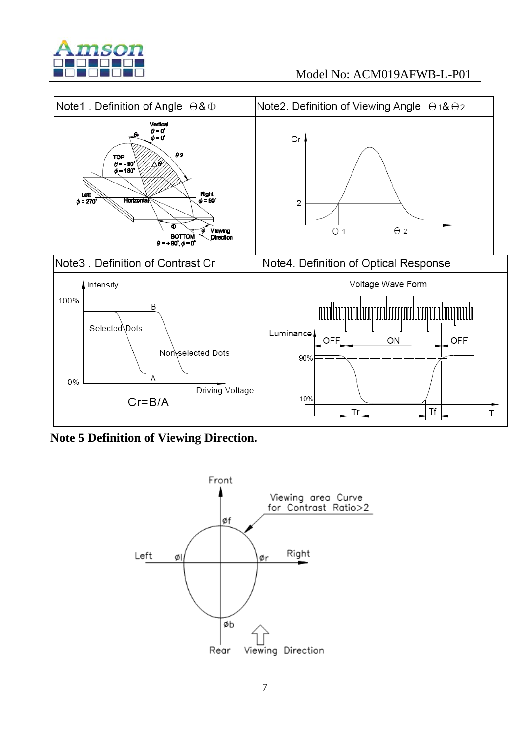



**Note 5 Definition of Viewing Direction.** 

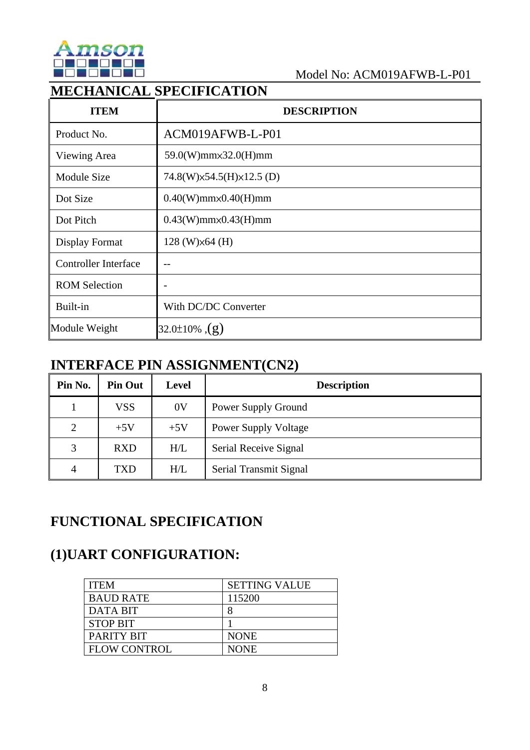

# **MECHANICAL SPECIFICATION**

| <b>ITEM</b>                 | <b>DESCRIPTION</b>              |
|-----------------------------|---------------------------------|
| Product No.                 | ACM019AFWB-L-P01                |
| Viewing Area                | 59.0(W)mm×32.0(H)mm             |
| <b>Module Size</b>          | 74.8(W) x54.5(H) x12.5 (D)      |
| Dot Size                    | $0.40(W)$ mm $\times$ 0.40(H)mm |
| Dot Pitch                   | $0.43(W)$ mm $\times$ 0.43(H)mm |
| Display Format              | $128$ (W) $\times$ 64 (H)       |
| <b>Controller Interface</b> | $- -$                           |
| <b>ROM Selection</b>        |                                 |
| Built-in                    | With DC/DC Converter            |
| Module Weight               | 32.0±10% $,(g)$                 |

# **INTERFACE PIN ASSIGNMENT(CN2)**

| Pin No. | <b>Pin Out</b> | <b>Level</b>   | <b>Description</b>          |
|---------|----------------|----------------|-----------------------------|
|         | <b>VSS</b>     | 0 <sup>V</sup> | Power Supply Ground         |
| 2       | $+5V$          | $+5V$          | <b>Power Supply Voltage</b> |
| 3       | <b>RXD</b>     | H/L            | Serial Receive Signal       |
| 4       | TXD            | H/L            | Serial Transmit Signal      |

# **FUNCTIONAL SPECIFICATION**

# **(1)UART CONFIGURATION:**

| <b>ITEM</b>         | <b>SETTING VALUE</b> |
|---------------------|----------------------|
| <b>BAUD RATE</b>    | 115200               |
| <b>DATA BIT</b>     |                      |
| <b>STOP BIT</b>     |                      |
| <b>PARITY BIT</b>   | <b>NONE</b>          |
| <b>FLOW CONTROL</b> | <b>NONE</b>          |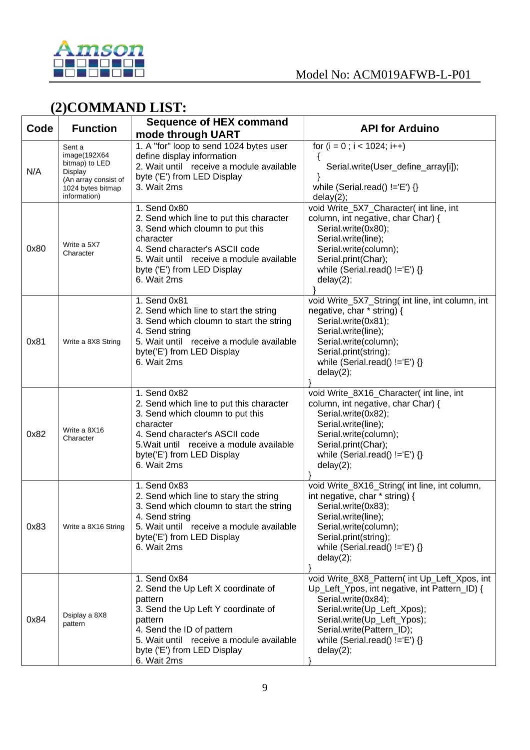

# **(2)COMMAND LIST:**

| Code | <b>Function</b>                                                                                                  | <b>Sequence of HEX command</b><br>mode through UART                                                                                                                                                                                     | <b>API for Arduino</b>                                                                                                                                                                                                                                            |
|------|------------------------------------------------------------------------------------------------------------------|-----------------------------------------------------------------------------------------------------------------------------------------------------------------------------------------------------------------------------------------|-------------------------------------------------------------------------------------------------------------------------------------------------------------------------------------------------------------------------------------------------------------------|
| N/A  | Sent a<br>image(192X64<br>bitmap) to LED<br>Display<br>(An array consist of<br>1024 bytes bitmap<br>information) | 1. A "for" loop to send 1024 bytes user<br>define display information<br>2. Wait until receive a module available<br>byte ('E') from LED Display<br>3. Wait 2ms                                                                         | for $(i = 0; i < 1024; i++)$<br>Serial.write(User_define_array[i]);<br>while (Serial.read() $!=E'$ ) {}<br>delay(2);                                                                                                                                              |
| 0x80 | Write a 5X7<br>Character                                                                                         | 1. Send 0x80<br>2. Send which line to put this character<br>3. Send which cloumn to put this<br>character<br>4. Send character's ASCII code<br>5. Wait until receive a module available<br>byte ('E') from LED Display<br>6. Wait 2ms   | void Write_5X7_Character( int line, int<br>column, int negative, char Char) {<br>Serial.write(0x80);<br>Serial.write(line);<br>Serial.write(column);<br>Serial.print(Char);<br>while (Serial.read() $!=E'$ ) {}<br>delay(2);                                      |
| 0x81 | Write a 8X8 String                                                                                               | 1. Send 0x81<br>2. Send which line to start the string<br>3. Send which cloumn to start the string<br>4. Send string<br>5. Wait until receive a module available<br>byte('E') from LED Display<br>6. Wait 2ms                           | void Write_5X7_String( int line, int column, int<br>negative, char * string) {<br>Serial.write(0x81);<br>Serial.write(line);<br>Serial.write(column);<br>Serial.print(string);<br>while (Serial.read() $!=$ 'E') {}<br>delay(2);                                  |
| 0x82 | Write a 8X16<br>Character                                                                                        | 1. Send 0x82<br>2. Send which line to put this character<br>3. Send which cloumn to put this<br>character<br>4. Send character's ASCII code<br>5. Wait until receive a module available<br>byte('E') from LED Display<br>6. Wait 2ms    | void Write_8X16_Character( int line, int<br>column, int negative, char Char) {<br>Serial.write(0x82);<br>Serial.write(line);<br>Serial.write(column);<br>Serial.print(Char);<br>while (Serial.read() $!=E'$ ) {}<br>delay(2);                                     |
| 0x83 | Write a 8X16 String                                                                                              | 1. Send 0x83<br>2. Send which line to stary the string<br>3. Send which cloumn to start the string<br>4. Send string<br>5. Wait until receive a module available<br>byte('E') from LED Display<br>6. Wait 2ms                           | void Write_8X16_String( int line, int column,<br>int negative, char * string) {<br>Serial.write(0x83);<br>Serial.write(line);<br>Serial.write(column);<br>Serial.print(string);<br>while (Serial.read() $!=$ 'E') {}<br>delay(2);                                 |
| 0x84 | Dsiplay a 8X8<br>pattern                                                                                         | 1. Send 0x84<br>2. Send the Up Left X coordinate of<br>pattern<br>3. Send the Up Left Y coordinate of<br>pattern<br>4. Send the ID of pattern<br>5. Wait until receive a module available<br>byte ('E') from LED Display<br>6. Wait 2ms | void Write 8X8 Pattern(int Up Left Xpos, int<br>Up_Left_Ypos, int negative, int Pattern_ID) {<br>Serial.write(0x84);<br>Serial.write(Up_Left_Xpos);<br>Serial.write(Up_Left_Ypos);<br>Serial.write(Pattern_ID);<br>while (Serial.read() $!=$ 'E') {}<br>delay(2); |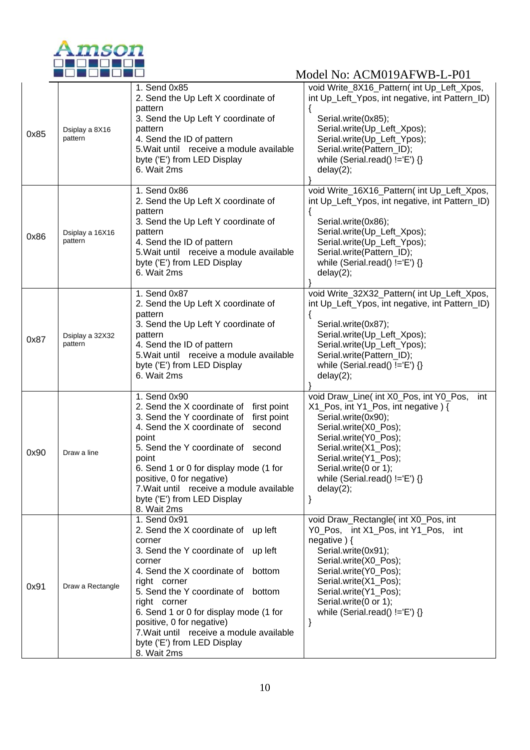

| 0x85 | Dsiplay a 8X16<br>pattern  | 1. Send 0x85<br>2. Send the Up Left X coordinate of<br>pattern<br>3. Send the Up Left Y coordinate of<br>pattern<br>4. Send the ID of pattern<br>5. Wait until receive a module available<br>byte ('E') from LED Display<br>6. Wait 2ms                                                                                                                                                     | void Write_8X16_Pattern( int Up_Left_Xpos,<br>int Up_Left_Ypos, int negative, int Pattern_ID)<br>Serial.write(0x85);<br>Serial.write(Up_Left_Xpos);<br>Serial.write(Up_Left_Ypos);<br>Serial.write(Pattern_ID);<br>while (Serial.read() $!=E$ ) {}<br>delay(2);                            |
|------|----------------------------|---------------------------------------------------------------------------------------------------------------------------------------------------------------------------------------------------------------------------------------------------------------------------------------------------------------------------------------------------------------------------------------------|--------------------------------------------------------------------------------------------------------------------------------------------------------------------------------------------------------------------------------------------------------------------------------------------|
| 0x86 | Dsiplay a 16X16<br>pattern | 1. Send 0x86<br>2. Send the Up Left X coordinate of<br>pattern<br>3. Send the Up Left Y coordinate of<br>pattern<br>4. Send the ID of pattern<br>5. Wait until receive a module available<br>byte ('E') from LED Display<br>6. Wait 2ms                                                                                                                                                     | void Write_16X16_Pattern( int Up_Left_Xpos,<br>int Up_Left_Ypos, int negative, int Pattern_ID)<br>Serial.write(0x86);<br>Serial.write(Up_Left_Xpos);<br>Serial.write(Up_Left_Ypos);<br>Serial.write(Pattern_ID);<br>while (Serial.read() $!=E$ ) {}<br>delay(2);                           |
| 0x87 | Dsiplay a 32X32<br>pattern | 1. Send 0x87<br>2. Send the Up Left X coordinate of<br>pattern<br>3. Send the Up Left Y coordinate of<br>pattern<br>4. Send the ID of pattern<br>5. Wait until receive a module available<br>byte ('E') from LED Display<br>6. Wait 2ms                                                                                                                                                     | void Write_32X32_Pattern( int Up_Left_Xpos,<br>int Up_Left_Ypos, int negative, int Pattern_ID)<br>Serial.write(0x87);<br>Serial.write(Up_Left_Xpos);<br>Serial.write(Up_Left_Ypos);<br>Serial.write(Pattern_ID);<br>while (Serial.read() $!=E$ ) {}<br>delay(2);                           |
| 0x90 | Draw a line                | 1. Send 0x90<br>2. Send the X coordinate of first point<br>3. Send the Y coordinate of<br>first point<br>4. Send the X coordinate of<br>second<br>point<br>5. Send the Y coordinate of second<br>point<br>6. Send 1 or 0 for display mode (1 for<br>positive, 0 for negative)<br>7. Wait until receive a module available<br>byte ('E') from LED Display<br>8. Wait 2ms                     | void Draw_Line( int X0_Pos, int Y0_Pos,<br>int<br>X1_Pos, int Y1_Pos, int negative) {<br>Serial.write(0x90);<br>Serial.write(X0_Pos);<br>Serial.write(Y0_Pos);<br>Serial.write(X1_Pos);<br>Serial.write(Y1_Pos);<br>Serial.write(0 or 1);<br>while (Serial.read() $!=E'$ ) {}<br>delay(2); |
| 0x91 | Draw a Rectangle           | 1. Send 0x91<br>2. Send the X coordinate of up left<br>corner<br>3. Send the Y coordinate of up left<br>corner<br>4. Send the X coordinate of bottom<br>right corner<br>5. Send the Y coordinate of bottom<br>right corner<br>6. Send 1 or 0 for display mode (1 for<br>positive, 0 for negative)<br>7. Wait until receive a module available<br>byte ('E') from LED Display<br>8. Wait 2ms | void Draw_Rectangle( int X0_Pos, int<br>Y0_Pos, int X1_Pos, int Y1_Pos, int<br>negative $)$ {<br>Serial.write(0x91);<br>Serial.write(X0_Pos);<br>Serial.write(Y0_Pos);<br>Serial.write(X1_Pos);<br>Serial.write(Y1_Pos);<br>Serial.write(0 or 1);<br>while (Serial.read() $!=$ 'E') {}     |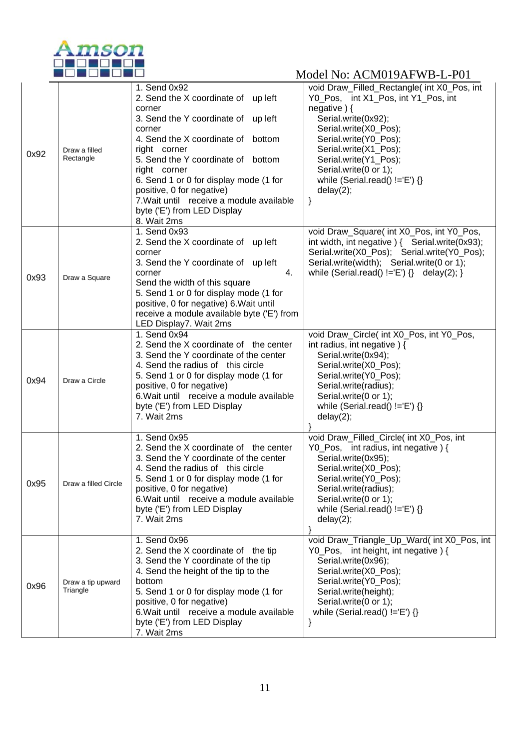

| 0x92 | Draw a filled<br>Rectangle    | 1. Send 0x92<br>2. Send the X coordinate of up left<br>corner<br>3. Send the Y coordinate of up left<br>corner<br>4. Send the X coordinate of bottom<br>right corner<br>5. Send the Y coordinate of bottom<br>right corner<br>6. Send 1 or 0 for display mode (1 for<br>positive, 0 for negative)<br>7. Wait until receive a module available<br>byte ('E') from LED Display<br>8. Wait 2ms | void Draw_Filled_Rectangle( int X0_Pos, int<br>Y0_Pos, int X1_Pos, int Y1_Pos, int<br>negative $)$ {<br>Serial.write(0x92);<br>Serial.write(X0_Pos);<br>Serial.write(Y0_Pos);<br>Serial.write(X1_Pos);<br>Serial.write(Y1_Pos);<br>Serial.write(0 or 1);<br>while (Serial.read() $!=E'$ ) {}<br>delay(2);<br>} |
|------|-------------------------------|---------------------------------------------------------------------------------------------------------------------------------------------------------------------------------------------------------------------------------------------------------------------------------------------------------------------------------------------------------------------------------------------|----------------------------------------------------------------------------------------------------------------------------------------------------------------------------------------------------------------------------------------------------------------------------------------------------------------|
| 0x93 | Draw a Square                 | 1. Send 0x93<br>2. Send the X coordinate of up left<br>corner<br>3. Send the Y coordinate of up left<br>corner<br>4.<br>Send the width of this square<br>5. Send 1 or 0 for display mode (1 for<br>positive, 0 for negative) 6. Wait until<br>receive a module available byte ('E') from<br>LED Display7. Wait 2ms                                                                          | void Draw_Square( int X0_Pos, int Y0_Pos,<br>int width, int negative $($ Serial write $(0x93)$ ;<br>Serial.write(X0_Pos); Serial.write(Y0_Pos);<br>Serial.write(width); Serial.write(0 or 1);<br>while (Serial.read() $!=$ $E'$ ) {} delay(2); }                                                               |
| 0x94 | Draw a Circle                 | 1. Send 0x94<br>2. Send the X coordinate of the center<br>3. Send the Y coordinate of the center<br>4. Send the radius of this circle<br>5. Send 1 or 0 for display mode (1 for<br>positive, 0 for negative)<br>6. Wait until receive a module available<br>byte ('E') from LED Display<br>7. Wait 2ms                                                                                      | void Draw_Circle( int X0_Pos, int Y0_Pos,<br>int radius, int negative $)$ {<br>Serial.write(0x94);<br>Serial.write(X0_Pos);<br>Serial.write(Y0_Pos);<br>Serial.write(radius);<br>Serial.write(0 or 1);<br>while (Serial.read() $!=E'$ ) {}<br>delay(2);                                                        |
| 0x95 | Draw a filled Circle          | 1. Send 0x95<br>2. Send the X coordinate of the center<br>3. Send the Y coordinate of the center<br>4. Send the radius of this circle<br>5. Send 1 or 0 for display mode (1 for<br>positive, 0 for negative)<br>6. Wait until receive a module available<br>byte ('E') from LED Display<br>7. Wait 2ms                                                                                      | void Draw_Filled_Circle( int X0_Pos, int<br>Y0_Pos, int radius, int negative) {<br>Serial.write(0x95);<br>Serial.write(X0_Pos);<br>Serial.write(Y0_Pos);<br>Serial.write(radius);<br>Serial.write(0 or 1);<br>while (Serial.read() $!=E'$ ) {}<br>delay(2);                                                    |
| 0x96 | Draw a tip upward<br>Triangle | 1. Send 0x96<br>2. Send the X coordinate of the tip<br>3. Send the Y coordinate of the tip<br>4. Send the height of the tip to the<br>bottom<br>5. Send 1 or 0 for display mode (1 for<br>positive, 0 for negative)<br>6. Wait until receive a module available<br>byte ('E') from LED Display<br>7. Wait 2ms                                                                               | void Draw_Triangle_Up_Ward(int X0_Pos, int<br>Y0_Pos, int height, int negative) {<br>Serial.write(0x96);<br>Serial.write(X0_Pos);<br>Serial.write(Y0_Pos);<br>Serial.write(height);<br>Serial.write(0 or 1);<br>while (Serial.read() $!=$ 'E') {}                                                              |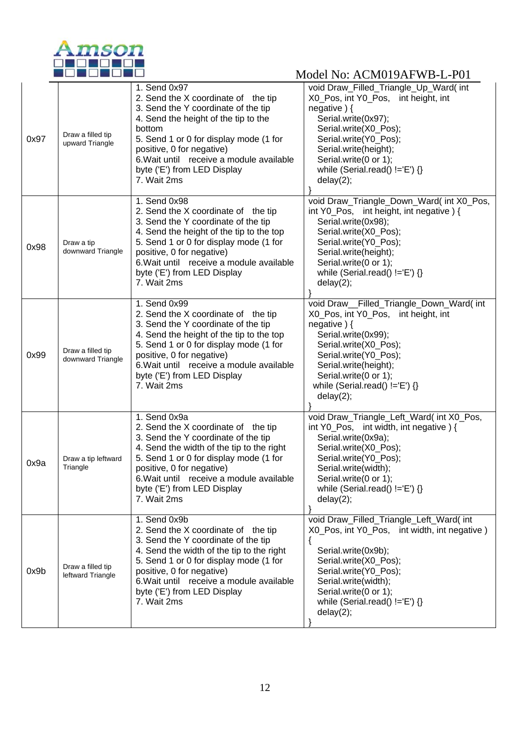

| 0x97 | Draw a filled tip<br>upward Triangle   | 1. Send 0x97<br>2. Send the X coordinate of the tip<br>3. Send the Y coordinate of the tip<br>4. Send the height of the tip to the<br>bottom<br>5. Send 1 or 0 for display mode (1 for<br>positive, 0 for negative)<br>6. Wait until receive a module available<br>byte ('E') from LED Display<br>7. Wait 2ms | void Draw_Filled_Triangle_Up_Ward( int<br>X0_Pos, int Y0_Pos, int height, int<br>negative $\}$ {<br>Serial.write(0x97);<br>Serial.write(X0 Pos);<br>Serial.write(Y0_Pos);<br>Serial.write(height);<br>Serial.write(0 or 1);<br>while (Serial.read() $!=E'$ ) {}<br>delay(2);    |
|------|----------------------------------------|---------------------------------------------------------------------------------------------------------------------------------------------------------------------------------------------------------------------------------------------------------------------------------------------------------------|---------------------------------------------------------------------------------------------------------------------------------------------------------------------------------------------------------------------------------------------------------------------------------|
| 0x98 | Draw a tip<br>downward Triangle        | 1. Send 0x98<br>2. Send the X coordinate of the tip<br>3. Send the Y coordinate of the tip<br>4. Send the height of the tip to the top<br>5. Send 1 or 0 for display mode (1 for<br>positive, 0 for negative)<br>6. Wait until receive a module available<br>byte ('E') from LED Display<br>7. Wait 2ms       | void Draw_Triangle_Down_Ward( int X0_Pos,<br>int Y0_Pos, int height, int negative) {<br>Serial.write(0x98);<br>Serial.write(X0_Pos);<br>Serial.write(Y0_Pos);<br>Serial.write(height);<br>Serial.write(0 or 1);<br>while (Serial.read() $!=E$ ) {}<br>delay(2);                 |
| 0x99 | Draw a filled tip<br>downward Triangle | 1. Send 0x99<br>2. Send the X coordinate of the tip<br>3. Send the Y coordinate of the tip<br>4. Send the height of the tip to the top<br>5. Send 1 or 0 for display mode (1 for<br>positive, 0 for negative)<br>6. Wait until receive a module available<br>byte ('E') from LED Display<br>7. Wait 2ms       | void Draw__Filled_Triangle_Down_Ward( int<br>X0_Pos, int Y0_Pos, int height, int<br>negative $\}$ {<br>Serial.write(0x99);<br>Serial.write(X0_Pos);<br>Serial.write(Y0_Pos);<br>Serial.write(height);<br>Serial.write(0 or 1);<br>while (Serial.read() $!=E'$ ) {}<br>delay(2); |
| 0x9a | Draw a tip leftward<br>Triangle        | 1. Send 0x9a<br>2. Send the X coordinate of the tip<br>3. Send the Y coordinate of the tip<br>4. Send the width of the tip to the right<br>5. Send 1 or 0 for display mode (1 for<br>positive, 0 for negative)<br>6. Wait until receive a module available<br>byte ('E') from LED Display<br>7. Wait 2ms      | void Draw_Triangle_Left_Ward(int X0_Pos,<br>int Y0_Pos, int width, int negative $\}$ {<br>Serial.write(0x9a);<br>Serial.write(X0_Pos);<br>Serial.write(Y0_Pos);<br>Serial.write(width);<br>Serial.write(0 or 1);<br>while (Serial.read() !='E') {}<br>delay(2);                 |
| 0x9b | Draw a filled tip<br>leftward Triangle | 1. Send 0x9b<br>2. Send the X coordinate of the tip<br>3. Send the Y coordinate of the tip<br>4. Send the width of the tip to the right<br>5. Send 1 or 0 for display mode (1 for<br>positive, 0 for negative)<br>6. Wait until receive a module available<br>byte ('E') from LED Display<br>7. Wait 2ms      | void Draw_Filled_Triangle_Left_Ward( int<br>X0 Pos, int Y0 Pos, int width, int negative)<br>Serial.write(0x9b);<br>Serial.write(X0_Pos);<br>Serial.write(Y0_Pos);<br>Serial.write(width);<br>Serial.write(0 or 1);<br>while (Serial.read() $!=E'$ ) {}<br>delay(2);             |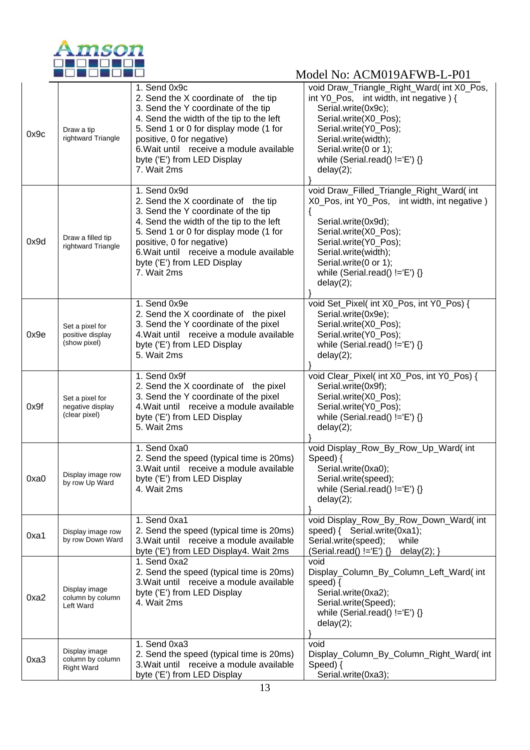

| 0x9c | Draw a tip<br>rightward Triangle                       | 1. Send 0x9c<br>2. Send the X coordinate of the tip<br>3. Send the Y coordinate of the tip<br>4. Send the width of the tip to the left<br>5. Send 1 or 0 for display mode (1 for<br>positive, 0 for negative)<br>6. Wait until receive a module available<br>byte ('E') from LED Display<br>7. Wait 2ms | void Draw_Triangle_Right_Ward(int X0_Pos,<br>int Y0_Pos, int width, int negative) {<br>Serial.write(0x9c);<br>Serial.write(X0_Pos);<br>Serial.write(Y0_Pos);<br>Serial.write(width);<br>Serial.write(0 or 1);<br>while (Serial.read() $!=$ 'E') {}<br>delay(2);      |
|------|--------------------------------------------------------|---------------------------------------------------------------------------------------------------------------------------------------------------------------------------------------------------------------------------------------------------------------------------------------------------------|----------------------------------------------------------------------------------------------------------------------------------------------------------------------------------------------------------------------------------------------------------------------|
| 0x9d | Draw a filled tip<br>rightward Triangle                | 1. Send 0x9d<br>2. Send the X coordinate of the tip<br>3. Send the Y coordinate of the tip<br>4. Send the width of the tip to the left<br>5. Send 1 or 0 for display mode (1 for<br>positive, 0 for negative)<br>6. Wait until receive a module available<br>byte ('E') from LED Display<br>7. Wait 2ms | void Draw_Filled_Triangle_Right_Ward(int<br>X0_Pos, int Y0_Pos, int width, int negative)<br>Serial.write(0x9d);<br>Serial.write(X0_Pos);<br>Serial.write(Y0_Pos);<br>Serial.write(width);<br>Serial.write(0 or 1);<br>while (Serial.read() $!=$ 'E') {}<br>delay(2); |
| 0x9e | Set a pixel for<br>positive display<br>(show pixel)    | 1. Send 0x9e<br>2. Send the X coordinate of the pixel<br>3. Send the Y coordinate of the pixel<br>4. Wait until receive a module available<br>byte ('E') from LED Display<br>5. Wait 2ms                                                                                                                | void Set_Pixel( int X0_Pos, int Y0_Pos) {<br>Serial.write(0x9e);<br>Serial.write(X0_Pos);<br>Serial.write(Y0_Pos);<br>while (Serial.read() $!=$ 'E') {}<br>delay(2);                                                                                                 |
| 0x9f | Set a pixel for<br>negative display<br>(clear pixel)   | 1. Send 0x9f<br>2. Send the X coordinate of the pixel<br>3. Send the Y coordinate of the pixel<br>4. Wait until receive a module available<br>byte ('E') from LED Display<br>5. Wait 2ms                                                                                                                | void Clear_Pixel( int X0_Pos, int Y0_Pos) {<br>Serial.write(0x9f);<br>Serial.write(X0_Pos);<br>Serial.write(Y0_Pos);<br>while (Serial.read() $!=$ 'E') {}<br>delay(2);                                                                                               |
| 0xa0 | Display image row<br>by row Up Ward                    | 1. Send 0xa0<br>2. Send the speed (typical time is 20ms)<br>3. Wait until receive a module available<br>byte ('E') from LED Display<br>4. Wait 2ms                                                                                                                                                      | void Display_Row_By_Row_Up_Ward( int<br>Speed) {<br>Serial.write(0xa0);<br>Serial.write(speed);<br>while (Serial.read() !='E') {}<br>delay(2);                                                                                                                       |
| 0xa1 | Display image row<br>by row Down Ward                  | 1. Send 0xa1<br>2. Send the speed (typical time is 20ms)<br>3. Wait until receive a module available<br>byte ('E') from LED Display4. Wait 2ms                                                                                                                                                          | void Display_Row_By_Row_Down_Ward(int<br>speed) { Serial.write(0xa1);<br>Serial.write(speed);<br>while<br>(Serial.read() $!=$ 'E') $\{\}$<br>delay $(2)$ ; }                                                                                                         |
| 0xa2 | Display image<br>column by column<br>Left Ward         | 1. Send 0xa2<br>2. Send the speed (typical time is 20ms)<br>3. Wait until receive a module available<br>byte ('E') from LED Display<br>4. Wait 2ms                                                                                                                                                      | void<br>Display_Column_By_Column_Left_Ward(int<br>speed) $\{$<br>Serial.write(0xa2);<br>Serial.write(Speed);<br>while (Serial.read() $!=$ 'E') {}<br>delay(2);                                                                                                       |
| 0xa3 | Display image<br>column by column<br><b>Right Ward</b> | 1. Send 0xa3<br>2. Send the speed (typical time is 20ms)<br>3. Wait until receive a module available<br>byte ('E') from LED Display                                                                                                                                                                     | void<br>Display_Column_By_Column_Right_Ward(int<br>Speed) {<br>Serial.write(0xa3);                                                                                                                                                                                   |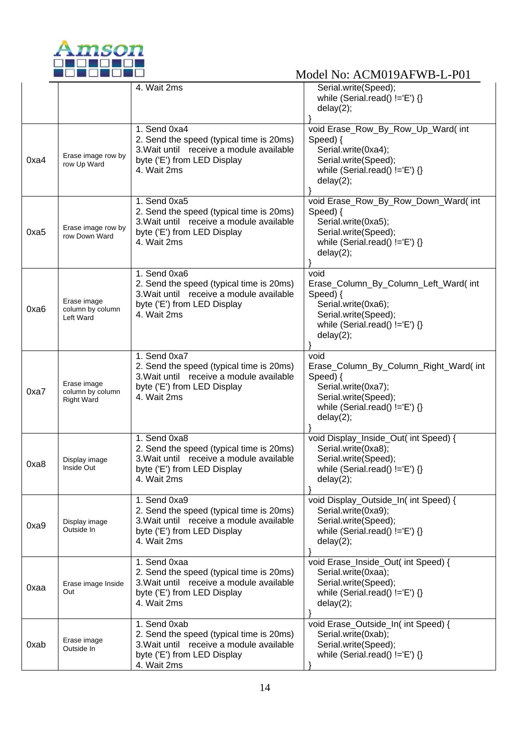

|      |                                                      | 4. Wait 2ms                                                                                                                                        | Serial.write(Speed);<br>while (Serial.read() $!=$ 'E') {}<br>delay(2);                                                                                     |
|------|------------------------------------------------------|----------------------------------------------------------------------------------------------------------------------------------------------------|------------------------------------------------------------------------------------------------------------------------------------------------------------|
| 0xa4 | Erase image row by<br>row Up Ward                    | 1. Send 0xa4<br>2. Send the speed (typical time is 20ms)<br>3. Wait until receive a module available<br>byte ('E') from LED Display<br>4. Wait 2ms | void Erase_Row_By_Row_Up_Ward( int<br>Speed) {<br>Serial.write(0xa4);<br>Serial.write(Speed);<br>while (Serial.read() $!=$ 'E') {}<br>delay(2);            |
| 0xa5 | Erase image row by<br>row Down Ward                  | 1. Send 0xa5<br>2. Send the speed (typical time is 20ms)<br>3. Wait until receive a module available<br>byte ('E') from LED Display<br>4. Wait 2ms | void Erase_Row_By_Row_Down_Ward( int<br>Speed) {<br>Serial.write(0xa5);<br>Serial.write(Speed);<br>while (Serial.read() $!=$ 'E') {}<br>delay(2);          |
| 0xa6 | Erase image<br>column by column<br>Left Ward         | 1. Send 0xa6<br>2. Send the speed (typical time is 20ms)<br>3. Wait until receive a module available<br>byte ('E') from LED Display<br>4. Wait 2ms | void<br>Erase_Column_By_Column_Left_Ward(int<br>Speed) {<br>Serial.write(0xa6);<br>Serial.write(Speed);<br>while (Serial.read() $!=$ 'E') {}<br>delay(2);  |
| 0xa7 | Erase image<br>column by column<br><b>Right Ward</b> | 1. Send 0xa7<br>2. Send the speed (typical time is 20ms)<br>3. Wait until receive a module available<br>byte ('E') from LED Display<br>4. Wait 2ms | void<br>Erase_Column_By_Column_Right_Ward(int<br>Speed) {<br>Serial.write(0xa7);<br>Serial.write(Speed);<br>while (Serial.read() $!=$ 'E') {}<br>delay(2); |
| 0xa8 | Display image<br>Inside Out                          | 1. Send 0xa8<br>2. Send the speed (typical time is 20ms)<br>3. Wait until receive a module available<br>byte ('E') from LED Display<br>4. Wait 2ms | void Display_Inside_Out( int Speed) {<br>Serial.write(0xa8);<br>Serial.write(Speed);<br>while (Serial.read() $!=$ 'E') {}<br>delay(2);                     |
| 0xa9 | Display image<br>Outside In                          | 1. Send 0xa9<br>2. Send the speed (typical time is 20ms)<br>3. Wait until receive a module available<br>byte ('E') from LED Display<br>4. Wait 2ms | void Display_Outside_In( int Speed) {<br>Serial.write(0xa9);<br>Serial.write(Speed);<br>while (Serial.read() $!=E'$ ) {}<br>delay(2);                      |
| 0xaa | Erase image Inside<br>Out                            | 1. Send 0xaa<br>2. Send the speed (typical time is 20ms)<br>3. Wait until receive a module available<br>byte ('E') from LED Display<br>4. Wait 2ms | void Erase_Inside_Out( int Speed) {<br>Serial.write(0xaa);<br>Serial.write(Speed);<br>while (Serial.read() $!=E'$ ) {}<br>delay(2);                        |
| 0xab | Erase image<br>Outside In                            | 1. Send 0xab<br>2. Send the speed (typical time is 20ms)<br>3. Wait until receive a module available<br>byte ('E') from LED Display<br>4. Wait 2ms | void Erase_Outside_In( int Speed) {<br>Serial.write(0xab);<br>Serial.write(Speed);<br>while (Serial.read() $!=$ 'E') {}                                    |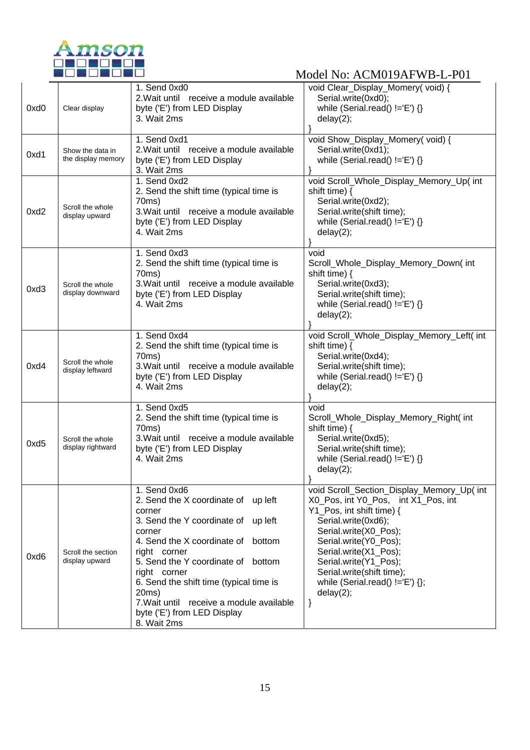

| 0xd0 | Clear display                          | 1. Send 0xd0<br>2. Wait until receive a module available<br>byte ('E') from LED Display<br>3. Wait 2ms                                                                                                                                                                                                                                                                            | void Clear_Display_Momery(void) {<br>Serial.write(0xd0);<br>while (Serial.read() $!=E'$ ) {}<br>delay(2);                                                                                                                                                                                                                     |  |
|------|----------------------------------------|-----------------------------------------------------------------------------------------------------------------------------------------------------------------------------------------------------------------------------------------------------------------------------------------------------------------------------------------------------------------------------------|-------------------------------------------------------------------------------------------------------------------------------------------------------------------------------------------------------------------------------------------------------------------------------------------------------------------------------|--|
| 0xd1 | Show the data in<br>the display memory | 1. Send 0xd1<br>2. Wait until receive a module available<br>byte ('E') from LED Display<br>3. Wait 2ms                                                                                                                                                                                                                                                                            | void Show_Display_Momery(void) {<br>Serial.write(0xd1);<br>while (Serial.read() $!=E'$ ) {}                                                                                                                                                                                                                                   |  |
| 0xd2 | Scroll the whole<br>display upward     | 1. Send 0xd2<br>2. Send the shift time (typical time is<br>70ms)<br>3. Wait until receive a module available<br>byte ('E') from LED Display<br>4. Wait 2ms                                                                                                                                                                                                                        | void Scroll_Whole_Display_Memory_Up( int<br>shift time) {<br>Serial.write(0xd2);<br>Serial.write(shift time);<br>while (Serial.read() $!=E'$ ) {}<br>delay(2);                                                                                                                                                                |  |
| 0xd3 | Scroll the whole<br>display downward   | 1. Send 0xd3<br>2. Send the shift time (typical time is<br>70ms)<br>3. Wait until receive a module available<br>byte ('E') from LED Display<br>4. Wait 2ms                                                                                                                                                                                                                        | void<br>Scroll_Whole_Display_Memory_Down(int<br>shift time) {<br>Serial.write(0xd3);<br>Serial.write(shift time);<br>while (Serial.read() $!=$ 'E') {}<br>delay(2);                                                                                                                                                           |  |
| 0xd4 | Scroll the whole<br>display leftward   | 1. Send 0xd4<br>2. Send the shift time (typical time is<br>70ms)<br>3. Wait until receive a module available<br>byte ('E') from LED Display<br>4. Wait 2ms                                                                                                                                                                                                                        | void Scroll_Whole_Display_Memory_Left( int<br>shift time) {<br>Serial.write(0xd4);<br>Serial.write(shift time);<br>while (Serial.read() $!=E$ ) {}<br>delay(2);                                                                                                                                                               |  |
| 0xd5 | Scroll the whole<br>display rightward  | 1. Send 0xd5<br>2. Send the shift time (typical time is<br>70ms)<br>3. Wait until receive a module available<br>byte ('E') from LED Display<br>4. Wait 2ms                                                                                                                                                                                                                        | void<br>Scroll_Whole_Display_Memory_Right(int<br>shift time) {<br>Serial.write(0xd5);<br>Serial.write(shift time);<br>while (Serial.read() $!=E'$ ) {}<br>delay(2);                                                                                                                                                           |  |
| 0xd6 | Scroll the section<br>display upward   | 1. Send 0xd6<br>2. Send the X coordinate of<br>up left<br>corner<br>3. Send the Y coordinate of<br>up left<br>corner<br>4. Send the X coordinate of<br>bottom<br>right corner<br>5. Send the Y coordinate of bottom<br>right corner<br>6. Send the shift time (typical time is<br>20ms)<br>7. Wait until receive a module available<br>byte ('E') from LED Display<br>8. Wait 2ms | void Scroll_Section_Display_Memory_Up( int<br>X0_Pos, int Y0_Pos, int X1_Pos, int<br>Y1_Pos, int shift time) {<br>Serial.write(0xd6);<br>Serial.write(X0_Pos);<br>Serial.write(Y0_Pos);<br>Serial.write(X1 Pos);<br>Serial.write(Y1_Pos);<br>Serial.write(shift time);<br>while (Serial.read() $!=E'$ ) {};<br>delay(2);<br>} |  |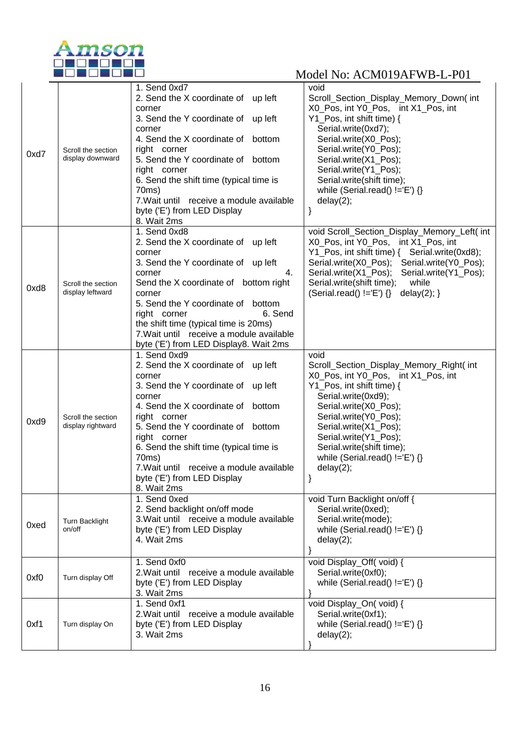

| 0xd7 | Scroll the section<br>display downward  | 1. Send 0xd7<br>2. Send the X coordinate of up left<br>corner<br>3. Send the Y coordinate of up left<br>corner<br>4. Send the X coordinate of bottom<br>right corner<br>5. Send the Y coordinate of bottom<br>right corner<br>6. Send the shift time (typical time is<br>70ms)<br>7. Wait until receive a module available<br>byte ('E') from LED Display<br>8. Wait 2ms | void<br>Scroll_Section_Display_Memory_Down(int<br>X0_Pos, int Y0_Pos, int X1_Pos, int<br>Y1_Pos, int shift time) {<br>Serial.write(0xd7);<br>Serial.write(X0_Pos);<br>Serial.write(Y0_Pos);<br>Serial.write(X1_Pos);<br>Serial.write(Y1_Pos);<br>Serial.write(shift time);<br>while (Serial.read() $!=$ 'E') {}<br>delay(2);<br>}    |
|------|-----------------------------------------|--------------------------------------------------------------------------------------------------------------------------------------------------------------------------------------------------------------------------------------------------------------------------------------------------------------------------------------------------------------------------|--------------------------------------------------------------------------------------------------------------------------------------------------------------------------------------------------------------------------------------------------------------------------------------------------------------------------------------|
| 0xd8 | Scroll the section<br>display leftward  | 1. Send 0xd8<br>2. Send the X coordinate of up left<br>corner<br>3. Send the Y coordinate of up left<br>corner<br>4.<br>Send the X coordinate of bottom right<br>corner<br>5. Send the Y coordinate of bottom<br>6. Send<br>right corner<br>the shift time (typical time is 20ms)<br>7. Wait until receive a module available<br>byte ('E') from LED Display8. Wait 2ms  | void Scroll_Section_Display_Memory_Left( int<br>X0_Pos, int Y0_Pos, int X1_Pos, int<br>Serial.write(X0_Pos); Serial.write(Y0_Pos);<br>Serial.write(X1_Pos);<br>Serial.write(Y1_Pos);<br>Serial.write(shift time);<br>while<br>(Serial.read() $!=E'$ ) {}<br>delay $(2)$ ; }                                                          |
| 0xd9 | Scroll the section<br>display rightward | 1. Send 0xd9<br>2. Send the X coordinate of up left<br>corner<br>3. Send the Y coordinate of up left<br>corner<br>4. Send the X coordinate of bottom<br>right corner<br>5. Send the Y coordinate of bottom<br>right corner<br>6. Send the shift time (typical time is<br>70ms)<br>7. Wait until receive a module available<br>byte ('E') from LED Display<br>8. Wait 2ms | void<br>Scroll_Section_Display_Memory_Right( int<br>X0_Pos, int Y0_Pos, int X1_Pos, int<br>Y1_Pos, int shift time) {<br>Serial.write(0xd9);<br>Serial.write(X0_Pos);<br>Serial.write(Y0_Pos);<br>Serial.write(X1_Pos);<br>Serial.write(Y1_Pos);<br>Serial.write(shift time);<br>while (Serial.read() $!=$ $E'$ ) $\{\}$<br>delay(2); |
| 0xed | Turn Backlight<br>on/off                | 1. Send 0xed<br>2. Send backlight on/off mode<br>3. Wait until receive a module available<br>byte ('E') from LED Display<br>4. Wait 2ms                                                                                                                                                                                                                                  | void Turn Backlight on/off {<br>Serial.write(0xed);<br>Serial.write(mode);<br>while (Serial.read() $!=E'$ ) {}<br>delay(2);                                                                                                                                                                                                          |
| 0xf0 | Turn display Off                        | 1. Send 0xf0<br>2. Wait until receive a module available<br>byte ('E') from LED Display<br>3. Wait 2ms                                                                                                                                                                                                                                                                   | void Display_Off(void) {<br>Serial.write(0xf0);<br>while (Serial.read() $!=$ 'E') {}                                                                                                                                                                                                                                                 |
| 0xf1 | Turn display On                         | 1. Send 0xf1<br>2. Wait until receive a module available<br>byte ('E') from LED Display<br>3. Wait 2ms                                                                                                                                                                                                                                                                   | void Display_On(void) {<br>Serial.write(0xf1);<br>while (Serial.read() $!=E'$ ) {}<br>delay(2);                                                                                                                                                                                                                                      |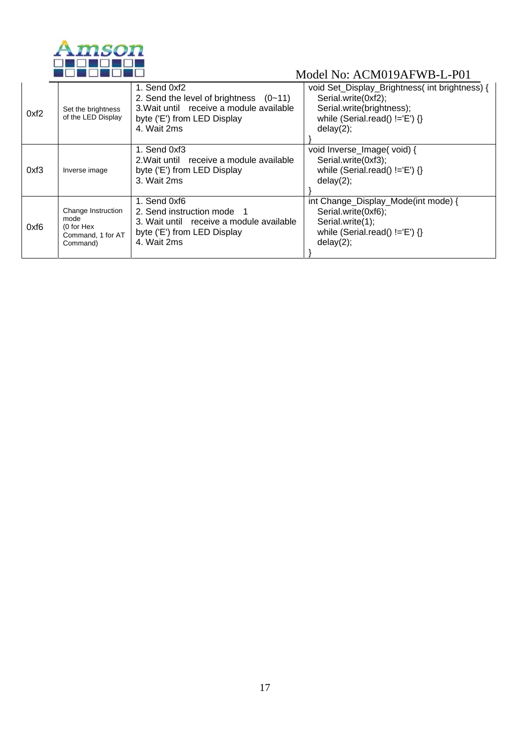

| 0xf2 | Set the brightness<br>of the LED Display                                  | 1. Send 0xf2<br>2. Send the level of brightness $(0-11)$<br>3. Wait until receive a module available<br>byte ('E') from LED Display<br>4. Wait 2ms | void Set_Display_Brightness(int brightness) {<br>Serial.write(0xf2);<br>Serial.write(brightness);<br>while (Serial.read() $!=$ 'E') {}<br>delay(2); |
|------|---------------------------------------------------------------------------|----------------------------------------------------------------------------------------------------------------------------------------------------|-----------------------------------------------------------------------------------------------------------------------------------------------------|
| 0xf3 | Inverse image                                                             | 1. Send 0xf3<br>2. Wait until receive a module available<br>byte ('E') from LED Display<br>3. Wait 2ms                                             | void Inverse_Image(void) {<br>Serial.write(0xf3);<br>while (Serial.read() $!=$ 'E') {}<br>delay(2);                                                 |
| 0xf6 | Change Instruction<br>mode<br>(0 for Hex<br>Command, 1 for AT<br>Command) | 1. Send 0xf6<br>2. Send instruction mode 1<br>3. Wait until receive a module available<br>byte ('E') from LED Display<br>4. Wait 2ms               | int Change_Display_Mode(int mode) {<br>Serial.write(0xf6);<br>Serial.write(1);<br>while (Serial.read() $!=$ 'E') $\{\}$<br>delay(2);                |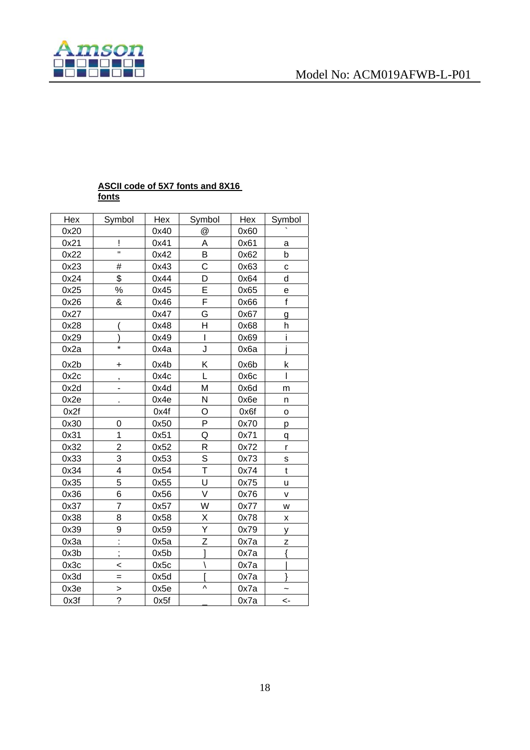



#### **ASCII code of 5X7 fonts and 8X16 fonts**

| Hex  | Symbol                  | Hex  | Symbol         | Hex  | Symbol       |
|------|-------------------------|------|----------------|------|--------------|
| 0x20 |                         | 0x40 | @              | 0x60 |              |
| 0x21 | Ţ                       | 0x41 | A              | 0x61 | a            |
| 0x22 | Ħ                       | 0x42 | B              | 0x62 | b            |
| 0x23 | #                       | 0x43 | Ċ              | 0x63 | C            |
| 0x24 | \$                      | 0x44 | D              | 0x64 | d            |
| 0x25 | $\%$                    | 0x45 | $\overline{E}$ | 0x65 | е            |
| 0x26 | &                       | 0x46 | F              | 0x66 | $\mathsf{f}$ |
| 0x27 |                         | 0x47 | Ġ              | 0x67 | g            |
| 0x28 |                         | 0x48 | H              | 0x68 | h            |
| 0x29 |                         | 0x49 | I              | 0x69 | i            |
| 0x2a | ×                       | 0x4a | J              | 0x6a |              |
| 0x2b | +                       | 0x4b | Κ              | 0x6b | k            |
| 0x2c | ,                       | 0x4c | L              | 0x6c | T            |
| 0x2d |                         | 0x4d | M              | 0x6d | m            |
| 0x2e |                         | 0x4e | N              | 0x6e | n            |
| 0x2f |                         | 0x4f | O              | 0x6f | o            |
| 0x30 | 0                       | 0x50 | P              | 0x70 | р            |
| 0x31 | 1                       | 0x51 | Q              | 0x71 | q            |
| 0x32 | $\overline{2}$          | 0x52 | R              | 0x72 | r            |
| 0x33 | 3                       | 0x53 | S              | 0x73 | S            |
| 0x34 | $\overline{\mathbf{4}}$ | 0x54 | T              | 0x74 | $\mathbf t$  |
| 0x35 | 5                       | 0x55 | U              | 0x75 | u            |
| 0x36 | 6                       | 0x56 | V              | 0x76 | v            |
| 0x37 | 7                       | 0x57 | W              | 0x77 | W            |
| 0x38 | 8                       | 0x58 | Χ              | 0x78 | X            |
| 0x39 | 9                       | 0x59 | Υ              | 0x79 | y            |
| 0x3a | ŀ                       | 0x5a | Z              | 0x7a | Z            |
| 0x3b | $\vdots$                | 0x5b |                | 0x7a |              |
| 0x3c | $\,<$                   | 0x5c |                | 0x7a |              |
| 0x3d | $=$                     | 0x5d |                | 0x7a |              |
| 0x3e | $\geq$                  | 0x5e | V              | 0x7a |              |
| 0x3f | $\overline{?}$          | 0x5f |                | 0x7a | <-           |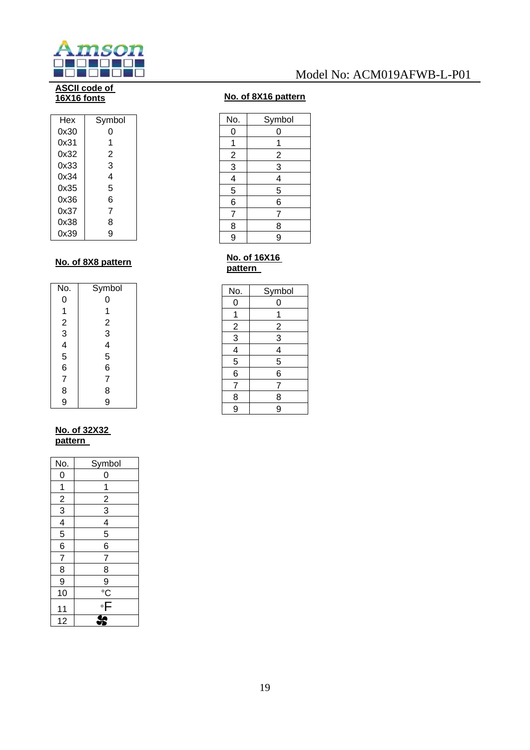

#### **ASCII code of 16X16 fonts**

| Hex  | Symbol |
|------|--------|
| 0x30 | O      |
| 0x31 | 1      |
| 0x32 | 2      |
| 0x33 | 3      |
| 0x34 | 4      |
| 0x35 | 5      |
| 0x36 | 6      |
| 0x37 | 7      |
| 0x38 | 8      |
| 0x39 | g      |

#### **No. of 8X8 pattern**

| No.            | Symbol                                              |
|----------------|-----------------------------------------------------|
| 0              | 0                                                   |
|                | 1                                                   |
|                |                                                     |
| 123456         | $\begin{array}{c}\n 2 \\ 3 \\ 4 \\ 5\n \end{array}$ |
|                |                                                     |
|                |                                                     |
|                | 6                                                   |
| $\overline{7}$ | 7                                                   |
| 8              | 8                                                   |
| 9              | 9                                                   |

#### **No. of 32X32 pattern**

| No.                                       | Symbol         |
|-------------------------------------------|----------------|
| 0                                         | 0              |
|                                           | 1              |
|                                           |                |
|                                           | $\frac{2}{3}$  |
| $\frac{1}{2}$ $\frac{3}{4}$ $\frac{4}{5}$ | $\frac{4}{5}$  |
|                                           |                |
| $\overline{6}$                            | 6              |
| $\frac{1}{7}$                             | $\overline{7}$ |
| 8                                         | 8              |
| 9                                         |                |
| 10                                        | $\frac{9}{2}$  |
| 11                                        | $\overline{F}$ |
| 12                                        |                |

#### **No. of 8X16 pattern**

| No.            | Symbol         |
|----------------|----------------|
| 0              | 0              |
| 1              | 1              |
|                |                |
| $\frac{2}{3}$  | $\frac{2}{3}$  |
| $\overline{4}$ | 4              |
| $\overline{5}$ | 5              |
| $\overline{6}$ | $\overline{6}$ |
| $\overline{7}$ | $\overline{7}$ |
| 8              | 8              |
| 9              | 9              |
|                |                |

#### **No. of 16X16 pattern**

| No.           | Symbol        |
|---------------|---------------|
| 0             | 0             |
| 1             | 1             |
|               |               |
| $\frac{2}{3}$ | $\frac{2}{3}$ |
|               |               |
| $\frac{4}{5}$ | $\frac{4}{5}$ |
|               | 6             |
| 7             | 7             |
| $\frac{8}{9}$ | 8             |
|               | 9             |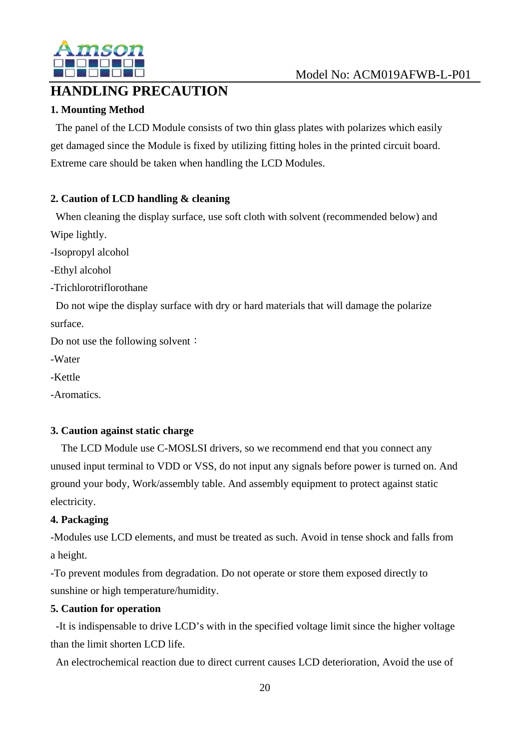

# **HANDLING PRECAUTION**

### **1. Mounting Method**

The panel of the LCD Module consists of two thin glass plates with polarizes which easily get damaged since the Module is fixed by utilizing fitting holes in the printed circuit board. Extreme care should be taken when handling the LCD Modules.

### **2. Caution of LCD handling & cleaning**

When cleaning the display surface, use soft cloth with solvent (recommended below) and Wipe lightly.

-Isopropyl alcohol

-Ethyl alcohol

-Trichlorotriflorothane

Do not wipe the display surface with dry or hard materials that will damage the polarize surface.

Do not use the following solvent:

-Water

-Kettle

-Aromatics.

### **3. Caution against static charge**

The LCD Module use C-MOSLSI drivers, so we recommend end that you connect any unused input terminal to VDD or VSS, do not input any signals before power is turned on. And ground your body, Work/assembly table. And assembly equipment to protect against static electricity.

### **4. Packaging**

-Modules use LCD elements, and must be treated as such. Avoid in tense shock and falls from a height.

-To prevent modules from degradation. Do not operate or store them exposed directly to sunshine or high temperature/humidity.

### **5. Caution for operation**

-It is indispensable to drive LCD's with in the specified voltage limit since the higher voltage than the limit shorten LCD life.

An electrochemical reaction due to direct current causes LCD deterioration, Avoid the use of